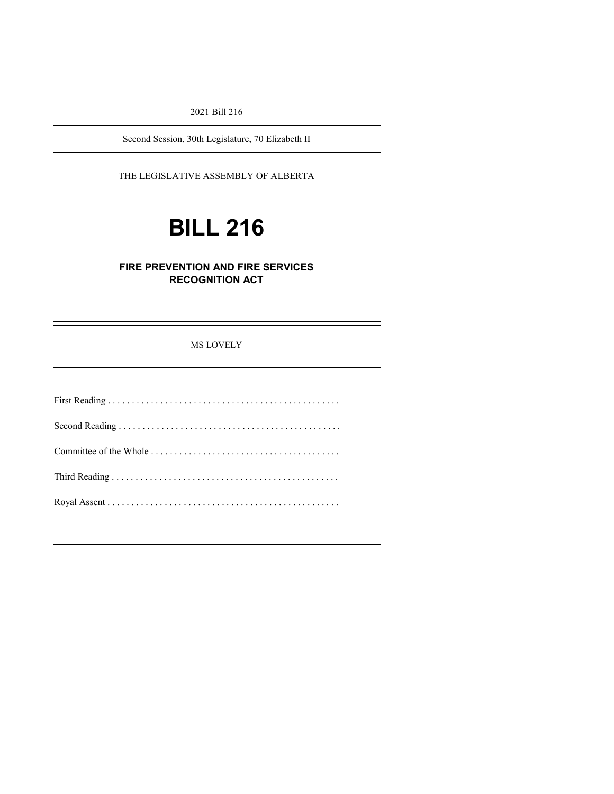2021 Bill 216

Second Session, 30th Legislature, 70 Elizabeth II

### THE LEGISLATIVE ASSEMBLY OF ALBERTA

# **BILL 216**

## **FIRE PREVENTION AND FIRE SERVICES RECOGNITION ACT**

### MS LOVELY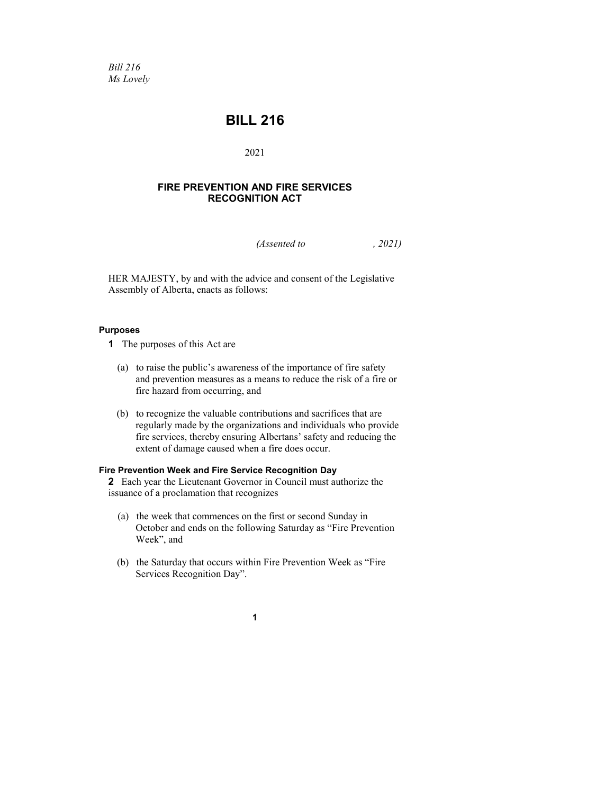*Bill 216 Ms Lovely*

# **BILL 216**

2021

### **FIRE PREVENTION AND FIRE SERVICES RECOGNITION ACT**

*(Assented to , 2021)* 

HER MAJESTY, by and with the advice and consent of the Legislative Assembly of Alberta, enacts as follows:

#### **Purposes**

- **1** The purposes of this Act are
	- (a) to raise the public's awareness of the importance of fire safety and prevention measures as a means to reduce the risk of a fire or fire hazard from occurring, and
	- (b) to recognize the valuable contributions and sacrifices that are regularly made by the organizations and individuals who provide fire services, thereby ensuring Albertans' safety and reducing the extent of damage caused when a fire does occur.

#### **Fire Prevention Week and Fire Service Recognition Day**

**2** Each year the Lieutenant Governor in Council must authorize the issuance of a proclamation that recognizes

- (a) the week that commences on the first or second Sunday in October and ends on the following Saturday as "Fire Prevention Week", and
- (b) the Saturday that occurs within Fire Prevention Week as "Fire Services Recognition Day".